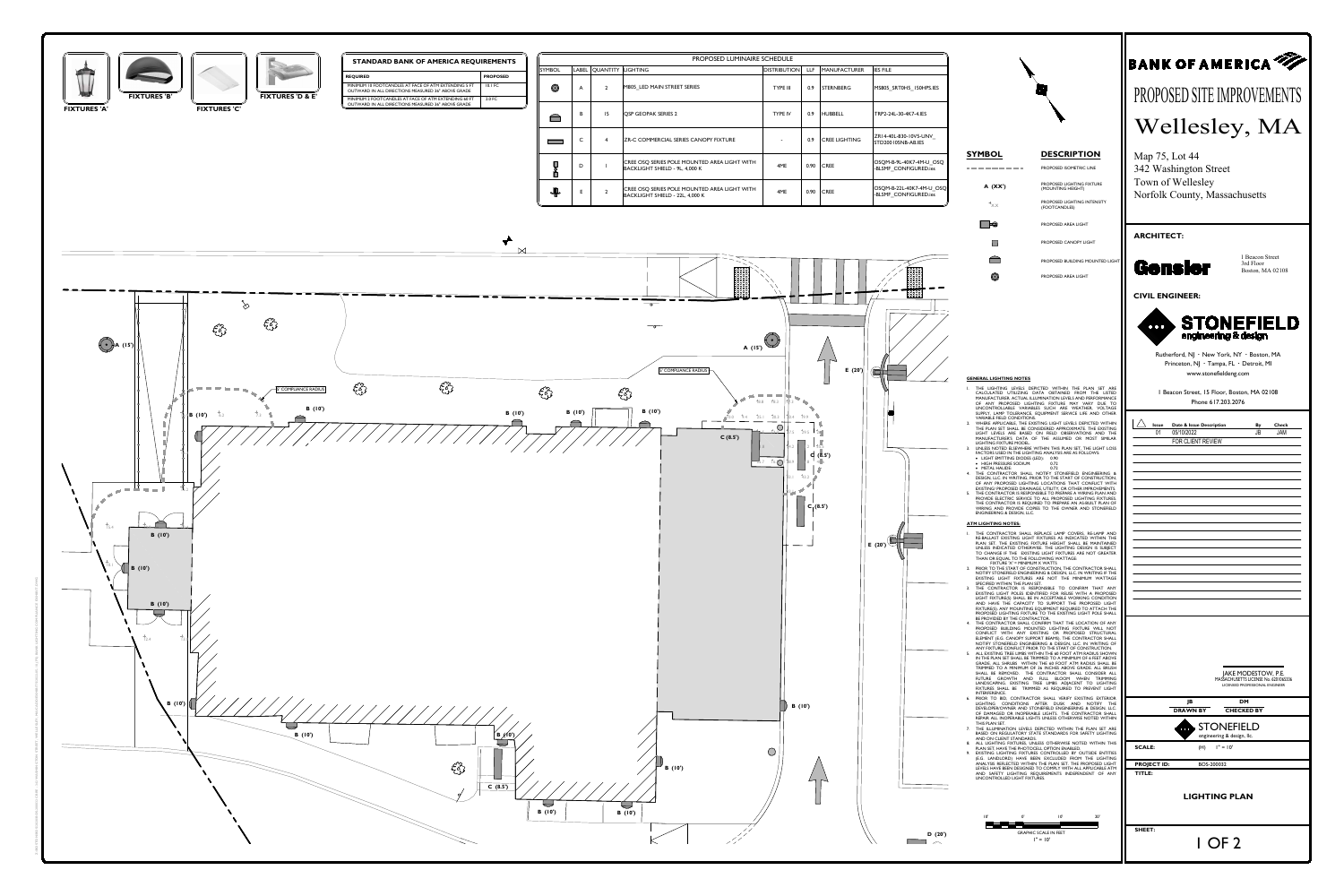

| <b>QUIREMENTS</b> |                 |               | PROPOSED LUMINAIRE SCHEDULE |                |                                                                                 |                     |            |                      |                                              |  |  |  |
|-------------------|-----------------|---------------|-----------------------------|----------------|---------------------------------------------------------------------------------|---------------------|------------|----------------------|----------------------------------------------|--|--|--|
|                   |                 | <b>SYMBOL</b> |                             | LABEL QUANTITY | <b>LIGHTING</b>                                                                 | <b>DISTRIBUTION</b> | <b>LLF</b> | <b>MANUFACTURER</b>  | <b>IES FILE</b>                              |  |  |  |
|                   | <b>PROPOSED</b> |               |                             |                |                                                                                 |                     |            |                      |                                              |  |  |  |
|                   | <b>10.1 FC</b>  | $\bigodot$    | $\mathsf{A}$                | $2^{\circ}$    | M805 LED MAIN STREET SERIES                                                     | <b>TYPE III</b>     | 0.9        | <b>STERNBERG</b>     | MS805 SRT0H5 150HPS.                         |  |  |  |
|                   | 2.0 FC          |               |                             |                |                                                                                 |                     |            |                      |                                              |  |  |  |
|                   |                 |               | B                           | 15             | <b>QSP GEOPAK SERIES 2</b>                                                      | <b>TYPE IV</b>      | 0.9        | <b>HUBBELL</b>       | TRP2-24L-30-4K7-4.IES                        |  |  |  |
|                   |                 |               | $\mathsf{C}$                |                | ZR-C COMMERCIAL SERIES CANOPY FIXTURE                                           |                     | 0.9        | <b>CREE LIGHTING</b> | ZR14-40L-830-10V5-UNV<br>STD200105NB-AB.IES  |  |  |  |
|                   |                 |               | D                           |                | CREE OSQ SERIES POLE MOUNTED AREA LIGHT WITH<br>BACKLIGHT SHIELD - 9L, 4,000 K  | 4ME                 | 0.90       | <b>CREE</b>          | OSQM-B-9L-40K7-4M-U_<br>-BLSMF_CONFIGURED.ie |  |  |  |
|                   |                 | ⊕             | Е.                          | $\overline{2}$ | CREE OSQ SERIES POLE MOUNTED AREA LIGHT WITH<br>BACKLIGHT SHIELD - 22L, 4,000 K | 4ME                 | 0.90       | <b>CREE</b>          | OSQM-B-22L-40K7-4M-U<br>-BLSMF CONFIGURED.ie |  |  |  |

- 
- 
- 
-